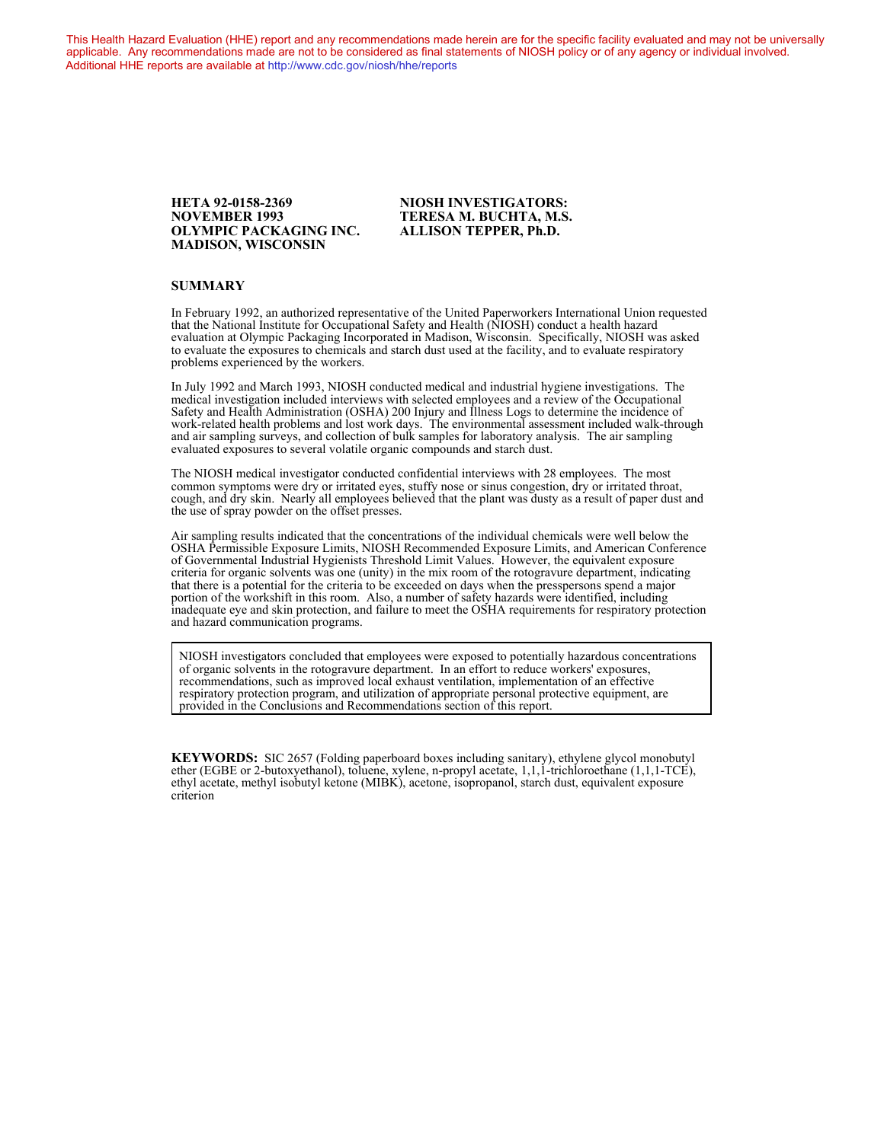This Health Hazard Evaluation (HHE) report and any recommendations made herein are for the specific facility evaluated and may not be universally applicable. Any recommendations made are not to be considered as final statements of NIOSH policy or of any agency or individual involved. Additional HHE reports are available at <http://www.cdc.gov/niosh/hhe/reports> Additional HHE reports are available at <http://www.cdc.gov/niosh/hhe/reports>

#### **NOVEMBER 1993 TERESA M. BUCHTA, M.S. OLYMPIC PACKAGING INC. ALLISON TEPPER, Ph.D. MADISON, WISCONSIN**

# **HETA 92-0158-2369 NIOSH INVESTIGATORS:**

#### **SUMMARY**

In February 1992, an authorized representative of the United Paperworkers International Union requested that the National Institute for Occupational Safety and Health (NIOSH) conduct a health hazard evaluation at Olympic Packaging Incorporated in Madison, Wisconsin. Specifically, NIOSH was asked to evaluate the exposures to chemicals and starch dust used at the facility, and to evaluate respiratory problems experienced by the workers.

In July 1992 and March 1993, NIOSH conducted medical and industrial hygiene investigations. The medical investigation included interviews with selected employees and a review of the Occupational Safety and Health Administration (OSHA) 200 Injury and Illness Logs to determine the incidence of work-related health problems and lost work days. The environmental assessment included walk-through and air sampling surveys, and collection of bulk samples for laboratory analysis. The air sampling evaluated exposures to several volatile organic compounds and starch dust.

The NIOSH medical investigator conducted confidential interviews with 28 employees. The most common symptoms were dry or irritated eyes, stuffy nose or sinus congestion, dry or irritated throat, cough, and dry skin. Nearly all employees believed that the plant was dusty as a result of paper dust and the use of spray powder on the offset presses.

Air sampling results indicated that the concentrations of the individual chemicals were well below the OSHA Permissible Exposure Limits, NIOSH Recommended Exposure Limits, and American Conference of Governmental Industrial Hygienists Threshold Limit Values. However, the equivalent exposure criteria for organic solvents was one (unity) in the mix room of the rotogravure department, indicating that there is a potential for the criteria to be exceeded on days when the presspersons spend a major portion of the workshift in this room. Also, a number of safety hazards were identified, including inadequate eye and skin protection, and failure to meet the OSHA requirements for respiratory protection and hazard communication programs.

NIOSH investigators concluded that employees were exposed to potentially hazardous concentrations of organic solvents in the rotogravure department. In an effort to reduce workers' exposures, recommendations, such as improved local exhaust ventilation, implementation of an effective respiratory protection program, and utilization of appropriate personal protective equipment, are provided in the Conclusions and Recommendations section of this report.

**KEYWORDS:** SIC 2657 (Folding paperboard boxes including sanitary), ethylene glycol monobutyl ether (EGBE or 2-butoxyethanol), toluene, xylene, n-propyl acetate, 1,1,1-trichloroethane (1,1,1-TCE), ethyl acetate, methyl isobutyl ketone (MIBK), acetone, isopropanol, starch dust, equivalent exposure criterion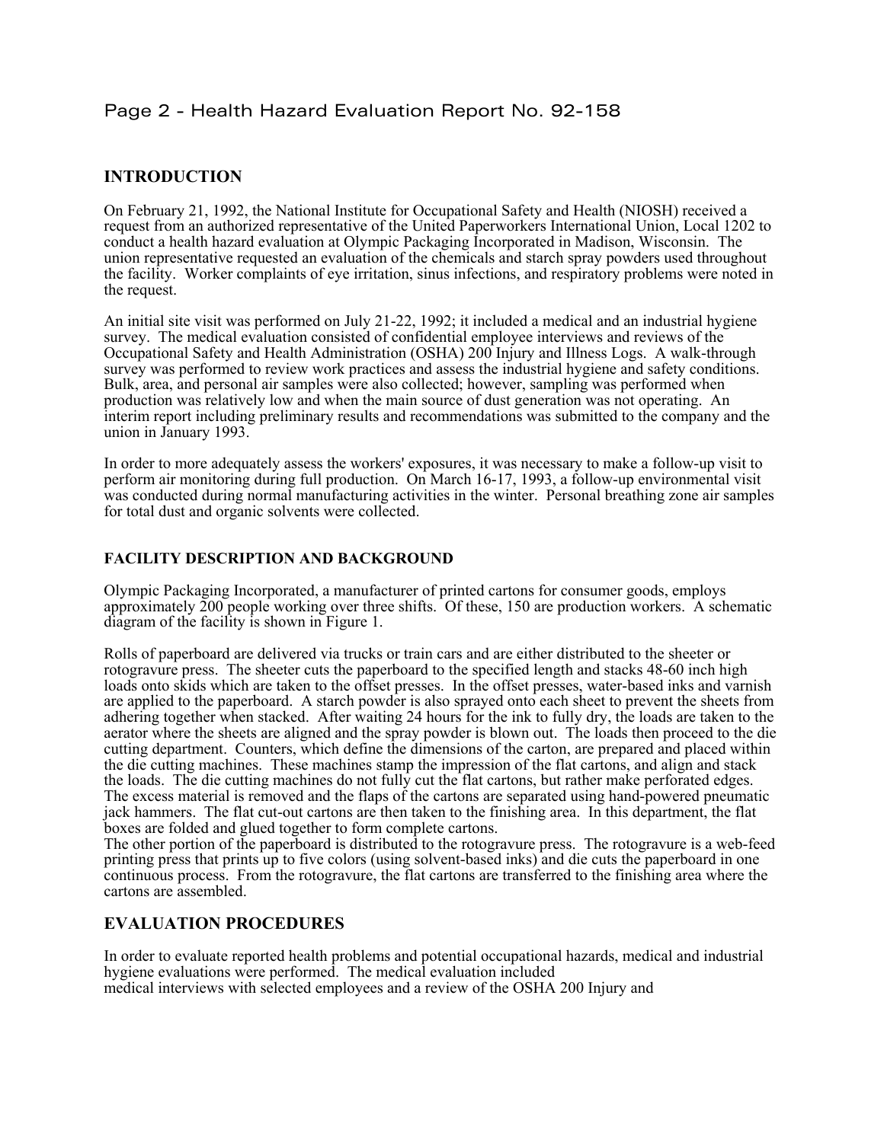# Page 2 - Health Hazard Evaluation Report No. 92-158

## **INTRODUCTION**

On February 21, 1992, the National Institute for Occupational Safety and Health (NIOSH) received a request from an authorized representative of the United Paperworkers International Union, Local 1202 to conduct a health hazard evaluation at Olympic Packaging Incorporated in Madison, Wisconsin. The union representative requested an evaluation of the chemicals and starch spray powders used throughout the facility. Worker complaints of eye irritation, sinus infections, and respiratory problems were noted in the request.

An initial site visit was performed on July 21-22, 1992; it included a medical and an industrial hygiene survey. The medical evaluation consisted of confidential employee interviews and reviews of the Occupational Safety and Health Administration (OSHA) 200 Injury and Illness Logs. A walk-through survey was performed to review work practices and assess the industrial hygiene and safety conditions. Bulk, area, and personal air samples were also collected; however, sampling was performed when production was relatively low and when the main source of dust generation was not operating. An interim report including preliminary results and recommendations was submitted to the company and the union in January 1993.

In order to more adequately assess the workers' exposures, it was necessary to make a follow-up visit to perform air monitoring during full production. On March 16-17, 1993, a follow-up environmental visit was conducted during normal manufacturing activities in the winter. Personal breathing zone air samples for total dust and organic solvents were collected.

#### **FACILITY DESCRIPTION AND BACKGROUND**

Olympic Packaging Incorporated, a manufacturer of printed cartons for consumer goods, employs approximately 200 people working over three shifts. Of these, 150 are production workers. A schematic diagram of the facility is shown in Figure 1.

Rolls of paperboard are delivered via trucks or train cars and are either distributed to the sheeter or rotogravure press. The sheeter cuts the paperboard to the specified length and stacks 48-60 inch high loads onto skids which are taken to the offset presses. In the offset presses, water-based inks and varnish are applied to the paperboard. A starch powder is also sprayed onto each sheet to prevent the sheets from adhering together when stacked. After waiting 24 hours for the ink to fully dry, the loads are taken to the aerator where the sheets are aligned and the spray powder is blown out. The loads then proceed to the die cutting department. Counters, which define the dimensions of the carton, are prepared and placed within the die cutting machines. These machines stamp the impression of the flat cartons, and align and stack the loads. The die cutting machines do not fully cut the flat cartons, but rather make perforated edges. The excess material is removed and the flaps of the cartons are separated using hand-powered pneumatic jack hammers. The flat cut-out cartons are then taken to the finishing area. In this department, the flat boxes are folded and glued together to form complete cartons.

The other portion of the paperboard is distributed to the rotogravure press. The rotogravure is a web-feed printing press that prints up to five colors (using solvent-based inks) and die cuts the paperboard in one continuous process. From the rotogravure, the flat cartons are transferred to the finishing area where the cartons are assembled.

#### **EVALUATION PROCEDURES**

In order to evaluate reported health problems and potential occupational hazards, medical and industrial hygiene evaluations were performed. The medical evaluation included medical interviews with selected employees and a review of the OSHA 200 Injury and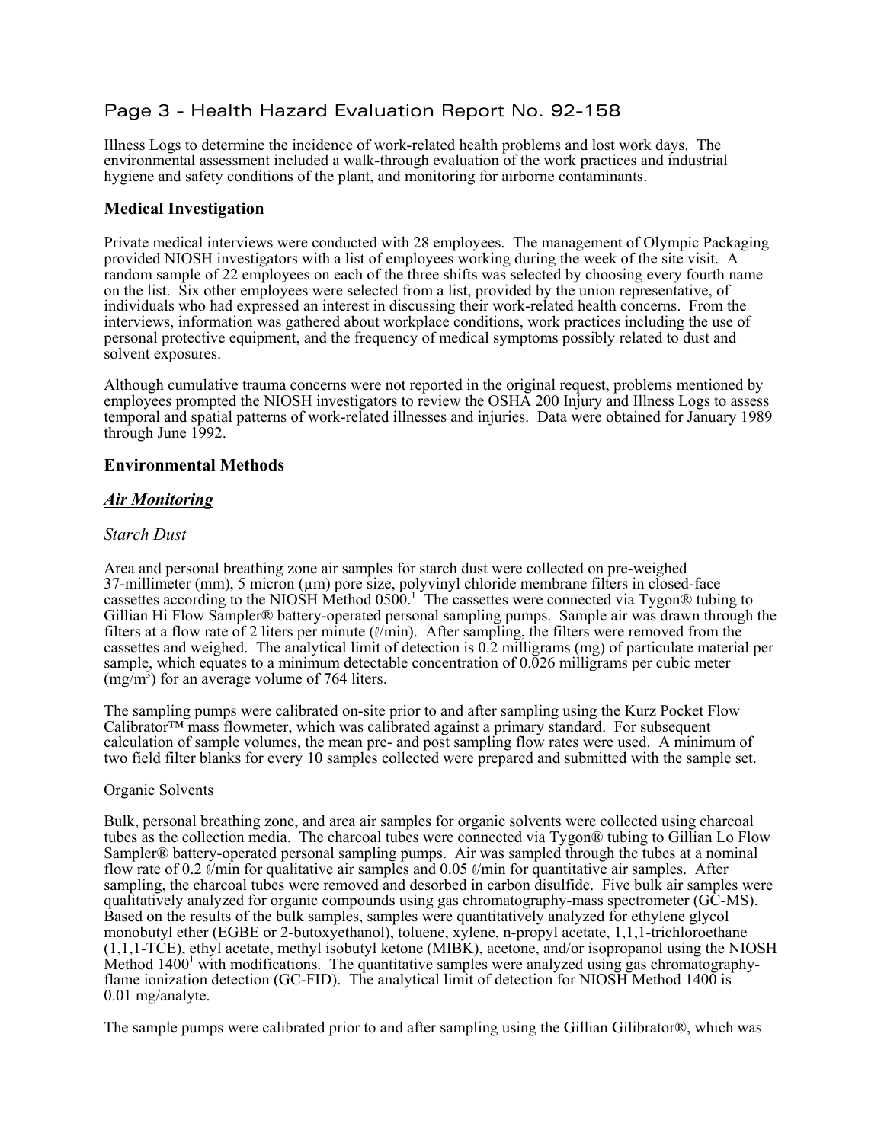# Page 3 - Health Hazard Evaluation Report No. 92-158

Illness Logs to determine the incidence of work-related health problems and lost work days. The environmental assessment included a walk-through evaluation of the work practices and industrial hygiene and safety conditions of the plant, and monitoring for airborne contaminants.

#### **Medical Investigation**

Private medical interviews were conducted with 28 employees. The management of Olympic Packaging provided NIOSH investigators with a list of employees working during the week of the site visit. A random sample of 22 employees on each of the three shifts was selected by choosing every fourth name on the list. Six other employees were selected from a list, provided by the union representative, of individuals who had expressed an interest in discussing their work-related health concerns. From the interviews, information was gathered about workplace conditions, work practices including the use of personal protective equipment, and the frequency of medical symptoms possibly related to dust and solvent exposures.

Although cumulative trauma concerns were not reported in the original request, problems mentioned by employees prompted the NIOSH investigators to review the OSHA 200 Injury and Illness Logs to assess temporal and spatial patterns of work-related illnesses and injuries. Data were obtained for January 1989 through June 1992.

#### **Environmental Methods**

#### *Air Monitoring*

#### *Starch Dust*

Area and personal breathing zone air samples for starch dust were collected on pre-weighed 37-millimeter (mm), 5 micron (µm) pore size, polyvinyl chloride membrane filters in closed-face cassettes according to the NIOSH Method 0500.<sup>1</sup> The cassettes were connected via Tygon® tubing to Gillian Hi Flow Sampler® battery-operated personal sampling pumps. Sample air was drawn through the filters at a flow rate of 2 liters per minute  $(\ell/min)$ . After sampling, the filters were removed from the cassettes and weighed. The analytical limit of detection is 0.2 milligrams (mg) of particulate material per sample, which equates to a minimum detectable concentration of 0.026 milligrams per cubic meter  $(mg/m<sup>3</sup>)$  for an average volume of 764 liters.

The sampling pumps were calibrated on-site prior to and after sampling using the Kurz Pocket Flow Calibrator™ mass flowmeter, which was calibrated against a primary standard. For subsequent calculation of sample volumes, the mean pre- and post sampling flow rates were used. A minimum of two field filter blanks for every 10 samples collected were prepared and submitted with the sample set.

#### Organic Solvents

Bulk, personal breathing zone, and area air samples for organic solvents were collected using charcoal tubes as the collection media. The charcoal tubes were connected via Tygon® tubing to Gillian Lo Flow Sampler® battery-operated personal sampling pumps. Air was sampled through the tubes at a nominal flow rate of 0.2  $\ell$ /min for qualitative air samples and 0.05  $\ell$ /min for quantitative air samples. After sampling, the charcoal tubes were removed and desorbed in carbon disulfide. Five bulk air samples were qualitatively analyzed for organic compounds using gas chromatography-mass spectrometer (GC-MS). Based on the results of the bulk samples, samples were quantitatively analyzed for ethylene glycol monobutyl ether (EGBE or 2-butoxyethanol), toluene, xylene, n-propyl acetate, 1,1,1-trichloroethane (1,1,1-TCE), ethyl acetate, methyl isobutyl ketone (MIBK), acetone, and/or isopropanol using the NIOSH Method  $1400<sup>1</sup>$  with modifications. The quantitative samples were analyzed using gas chromatographyflame ionization detection (GC-FID). The analytical limit of detection for NIOSH Method 1400 is 0.01 mg/analyte.

The sample pumps were calibrated prior to and after sampling using the Gillian Gilibrator®, which was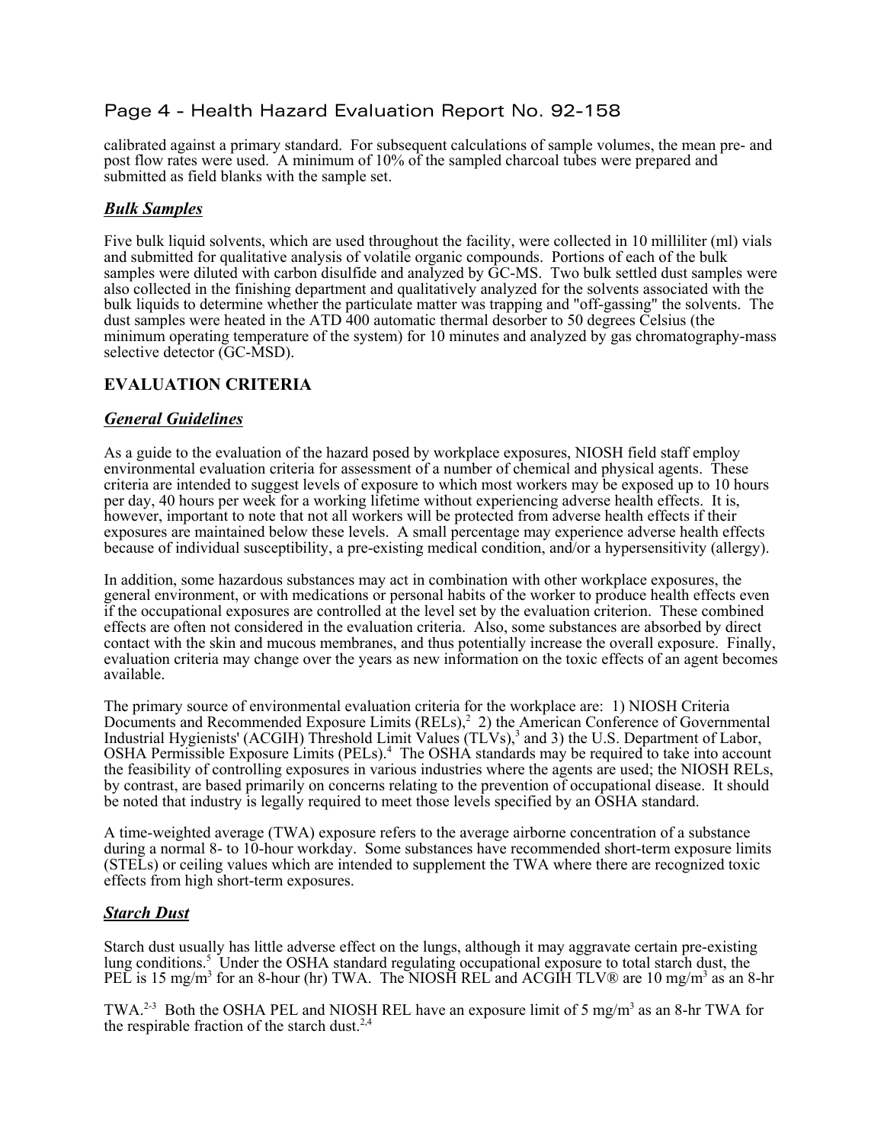# Page 4 - Health Hazard Evaluation Report No. 92-158

calibrated against a primary standard. For subsequent calculations of sample volumes, the mean pre- and post flow rates were used. A minimum of 10% of the sampled charcoal tubes were prepared and submitted as field blanks with the sample set.

#### *Bulk Samples*

Five bulk liquid solvents, which are used throughout the facility, were collected in 10 milliliter (ml) vials and submitted for qualitative analysis of volatile organic compounds. Portions of each of the bulk samples were diluted with carbon disulfide and analyzed by GC-MS. Two bulk settled dust samples were also collected in the finishing department and qualitatively analyzed for the solvents associated with the bulk liquids to determine whether the particulate matter was trapping and "off-gassing" the solvents. The dust samples were heated in the ATD 400 automatic thermal desorber to 50 degrees Celsius (the minimum operating temperature of the system) for 10 minutes and analyzed by gas chromatography-mass selective detector (GC-MSD).

#### **EVALUATION CRITERIA**

#### *General Guidelines*

As a guide to the evaluation of the hazard posed by workplace exposures, NIOSH field staff employ environmental evaluation criteria for assessment of a number of chemical and physical agents. These criteria are intended to suggest levels of exposure to which most workers may be exposed up to 10 hours per day, 40 hours per week for a working lifetime without experiencing adverse health effects. It is, however, important to note that not all workers will be protected from adverse health effects if their exposures are maintained below these levels. A small percentage may experience adverse health effects because of individual susceptibility, a pre-existing medical condition, and/or a hypersensitivity (allergy).

In addition, some hazardous substances may act in combination with other workplace exposures, the general environment, or with medications or personal habits of the worker to produce health effects even if the occupational exposures are controlled at the level set by the evaluation criterion. These combined effects are often not considered in the evaluation criteria. Also, some substances are absorbed by direct contact with the skin and mucous membranes, and thus potentially increase the overall exposure. Finally, evaluation criteria may change over the years as new information on the toxic effects of an agent becomes available.

The primary source of environmental evaluation criteria for the workplace are: 1) NIOSH Criteria Documents and Recommended Exposure Limits  $(RELS),^2$  2) the American Conference of Governmental Industrial Hygienists' (ACGIH) Threshold Limit Values (TLVs),<sup>3</sup> and 3) the U.S. Department of Labor, OSHA Permissible Exposure Limits (PELs).<sup>4</sup> The OSHA standards may be required to take into account the feasibility of controlling exposures in various industries where the agents are used; the NIOSH RELs, by contrast, are based primarily on concerns relating to the prevention of occupational disease. It should be noted that industry is legally required to meet those levels specified by an OSHA standard.

A time-weighted average (TWA) exposure refers to the average airborne concentration of a substance during a normal 8- to 10-hour workday. Some substances have recommended short-term exposure limits (STELs) or ceiling values which are intended to supplement the TWA where there are recognized toxic effects from high short-term exposures.

#### *Starch Dust*

Starch dust usually has little adverse effect on the lungs, although it may aggravate certain pre-existing lung conditions.<sup>5</sup> Under the OSHA standard regulating occupational exposure to total starch dust, the PEL is 15 mg/m<sup>3</sup> for an 8-hour (hr) TWA. The NIOSH REL and ACGIH TLV® are 10 mg/m<sup>3</sup> as an 8-hr

TWA.<sup>2-3</sup> Both the OSHA PEL and NIOSH REL have an exposure limit of 5 mg/m<sup>3</sup> as an 8-hr TWA for the respirable fraction of the starch dust.<sup>2,4</sup>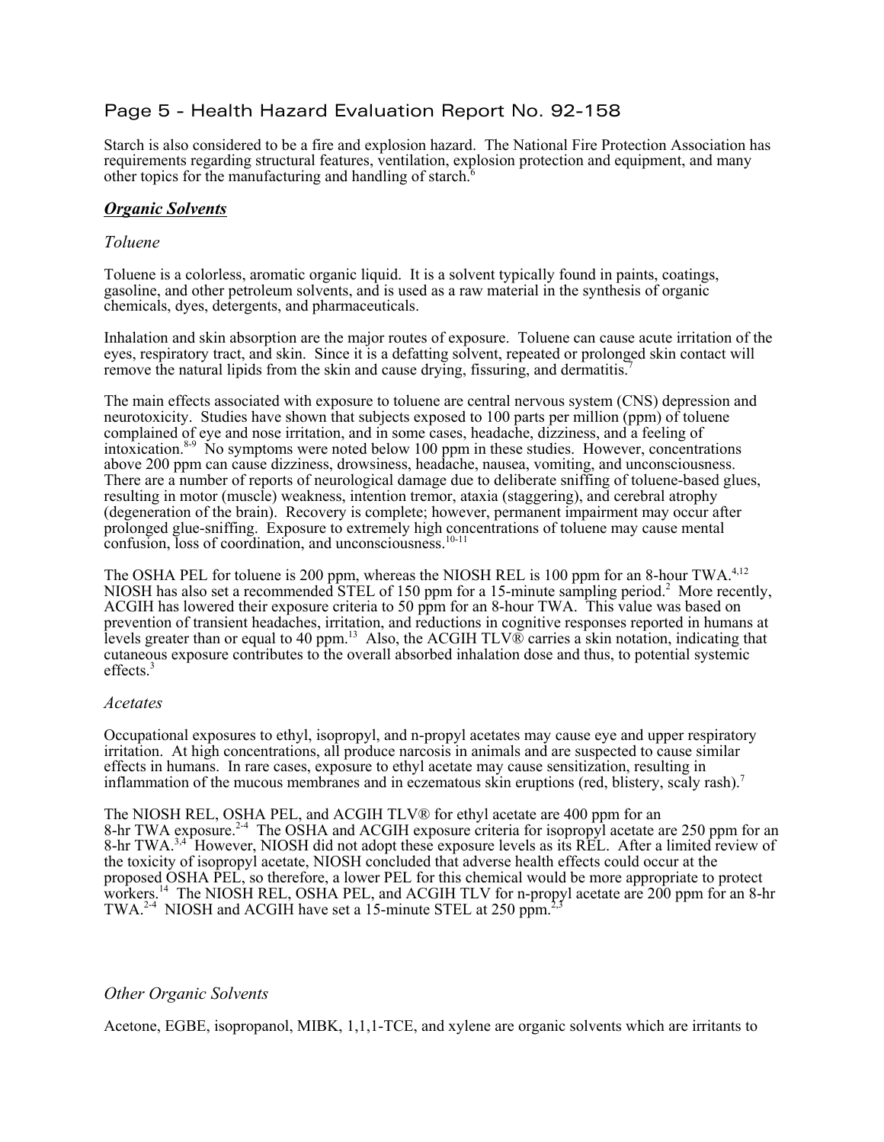# Page 5 - Health Hazard Evaluation Report No. 92-158

Starch is also considered to be a fire and explosion hazard. The National Fire Protection Association has requirements regarding structural features, ventilation, explosion protection and equipment, and many other topics for the manufacturing and handling of starch. $6$ 

#### *Organic Solvents*

#### *Toluene*

Toluene is a colorless, aromatic organic liquid. It is a solvent typically found in paints, coatings, gasoline, and other petroleum solvents, and is used as a raw material in the synthesis of organic chemicals, dyes, detergents, and pharmaceuticals.

Inhalation and skin absorption are the major routes of exposure. Toluene can cause acute irritation of the eyes, respiratory tract, and skin. Since it is a defatting solvent, repeated or prolonged skin contact will remove the natural lipids from the skin and cause drying, fissuring, and dermatitis.7

The main effects associated with exposure to toluene are central nervous system (CNS) depression and neurotoxicity. Studies have shown that subjects exposed to 100 parts per million (ppm) of toluene complained of eye and nose irritation, and in some cases, headache, dizziness, and a feeling of intoxication.8-9 No symptoms were noted below 100 ppm in these studies. However, concentrations above 200 ppm can cause dizziness, drowsiness, headache, nausea, vomiting, and unconsciousness. There are a number of reports of neurological damage due to deliberate sniffing of toluene-based glues, resulting in motor (muscle) weakness, intention tremor, ataxia (staggering), and cerebral atrophy (degeneration of the brain). Recovery is complete; however, permanent impairment may occur after prolonged glue-sniffing. Exposure to extremely high concentrations of toluene may cause mental confusion, loss of coordination, and unconsciousness.<sup>10-11</sup>

The OSHA PEL for toluene is 200 ppm, whereas the NIOSH REL is 100 ppm for an 8-hour TWA.<sup>4,12</sup> NIOSH has also set a recommended STEL of 150 ppm for a 15-minute sampling period.<sup>2</sup> More recently, ACGIH has lowered their exposure criteria to 50 ppm for an 8-hour TWA. This value was based on prevention of transient headaches, irritation, and reductions in cognitive responses reported in humans at levels greater than or equal to 40 ppm.<sup>13</sup> Also, the ACGIH TLV® carries a skin notation, indicating that cutaneous exposure contributes to the overall absorbed inhalation dose and thus, to potential systemic effects.<sup>3</sup>

#### *Acetates*

Occupational exposures to ethyl, isopropyl, and n-propyl acetates may cause eye and upper respiratory irritation. At high concentrations, all produce narcosis in animals and are suspected to cause similar effects in humans. In rare cases, exposure to ethyl acetate may cause sensitization, resulting in inflammation of the mucous membranes and in eczematous skin eruptions (red, blistery, scaly rash).<sup>7</sup>

The NIOSH REL, OSHA PEL, and ACGIH TLV® for ethyl acetate are 400 ppm for an 8-hr TWA exposure.<sup>2-4</sup> The OSHA and ACGIH exposure criteria for isopropyl acetate are 250 ppm for an 8-hr TWA.<sup>3,4</sup> However, NIOSH did not adopt these exposure levels as its REL. After a limited review of the toxicity of isopropyl acetate, NIOSH concluded that adverse health effects could occur at the proposed OSHA PEL, so therefore, a lower PEL for this chemical would be more appropriate to protect workers.14 The NIOSH REL, OSHA PEL, and ACGIH TLV for n-propyl acetate are 200 ppm for an 8-hr TWA.<sup>2-4</sup> NIOSH and ACGIH have set a 15-minute STEL at 250 ppm.<sup>2</sup>

#### *Other Organic Solvents*

Acetone, EGBE, isopropanol, MIBK, 1,1,1-TCE, and xylene are organic solvents which are irritants to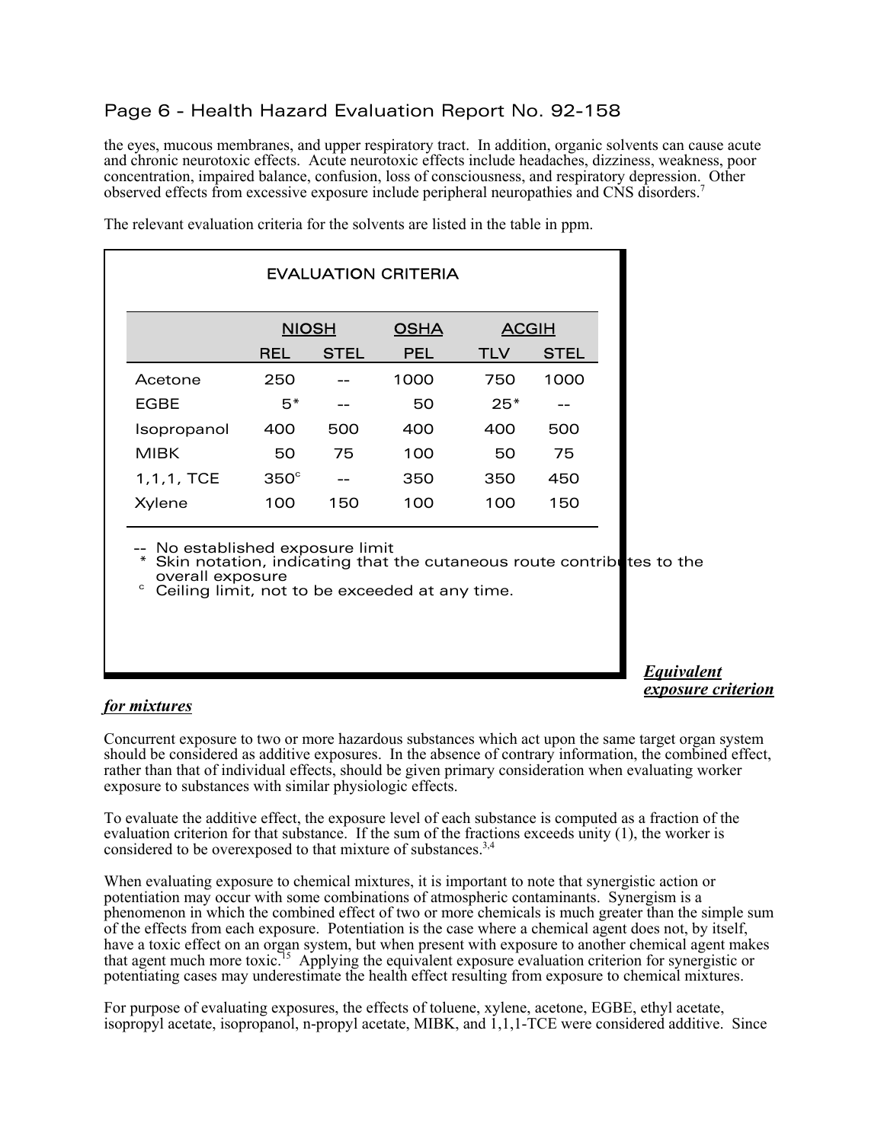# Page 6 - Health Hazard Evaluation Report No. 92-158

the eyes, mucous membranes, and upper respiratory tract. In addition, organic solvents can cause acute and chronic neurotoxic effects. Acute neurotoxic effects include headaches, dizziness, weakness, poor concentration, impaired balance, confusion, loss of consciousness, and respiratory depression. Other observed effects from excessive exposure include peripheral neuropathies and CNS disorders.7

| <b>EVALUATION CRITERIA</b> |              |             |             |              |             |  |  |  |
|----------------------------|--------------|-------------|-------------|--------------|-------------|--|--|--|
|                            | <b>NIOSH</b> |             | <b>OSHA</b> | <b>ACGIH</b> |             |  |  |  |
|                            | REL          | <b>STEL</b> | <b>PEL</b>  | <b>TLV</b>   | <b>STEL</b> |  |  |  |
| Acetone                    | 250          |             | 1000        | 750          | 1000        |  |  |  |
| <b>EGBE</b>                | 5*           |             | 50          | $25*$        |             |  |  |  |
| Isopropanol                | 400          | 500         | 400         | 400          | 500         |  |  |  |
| <b>MIBK</b>                | 50           | 75          | 100         | 50           | 75          |  |  |  |
| 1, 1, 1, TCE               | $350^\circ$  |             | 350         | 350          | 450         |  |  |  |
| Xylene                     | 100          | 150         | 100         | 100          | 150         |  |  |  |

The relevant evaluation criteria for the solvents are listed in the table in ppm.

No established exposure limit

Skin notation, indicating that the cutaneous route contributes to the overall exposure

Ceiling limit, not to be exceeded at any time.

*Equivalent exposure criterion*

#### *for mixtures*

Concurrent exposure to two or more hazardous substances which act upon the same target organ system should be considered as additive exposures. In the absence of contrary information, the combined effect, rather than that of individual effects, should be given primary consideration when evaluating worker exposure to substances with similar physiologic effects.

To evaluate the additive effect, the exposure level of each substance is computed as a fraction of the evaluation criterion for that substance. If the sum of the fractions exceeds unity (1), the worker is considered to be overexposed to that mixture of substances.<sup>3,4</sup>

When evaluating exposure to chemical mixtures, it is important to note that synergistic action or potentiation may occur with some combinations of atmospheric contaminants. Synergism is a phenomenon in which the combined effect of two or more chemicals is much greater than the simple sum of the effects from each exposure. Potentiation is the case where a chemical agent does not, by itself, have a toxic effect on an organ system, but when present with exposure to another chemical agent makes that agent much more toxic.<sup>15</sup> Applying the equivalent exposure evaluation criterion for synergistic or potentiating cases may underestimate the health effect resulting from exposure to chemical mixtures.

For purpose of evaluating exposures, the effects of toluene, xylene, acetone, EGBE, ethyl acetate, isopropyl acetate, isopropanol, n-propyl acetate, MIBK, and 1,1,1-TCE were considered additive. Since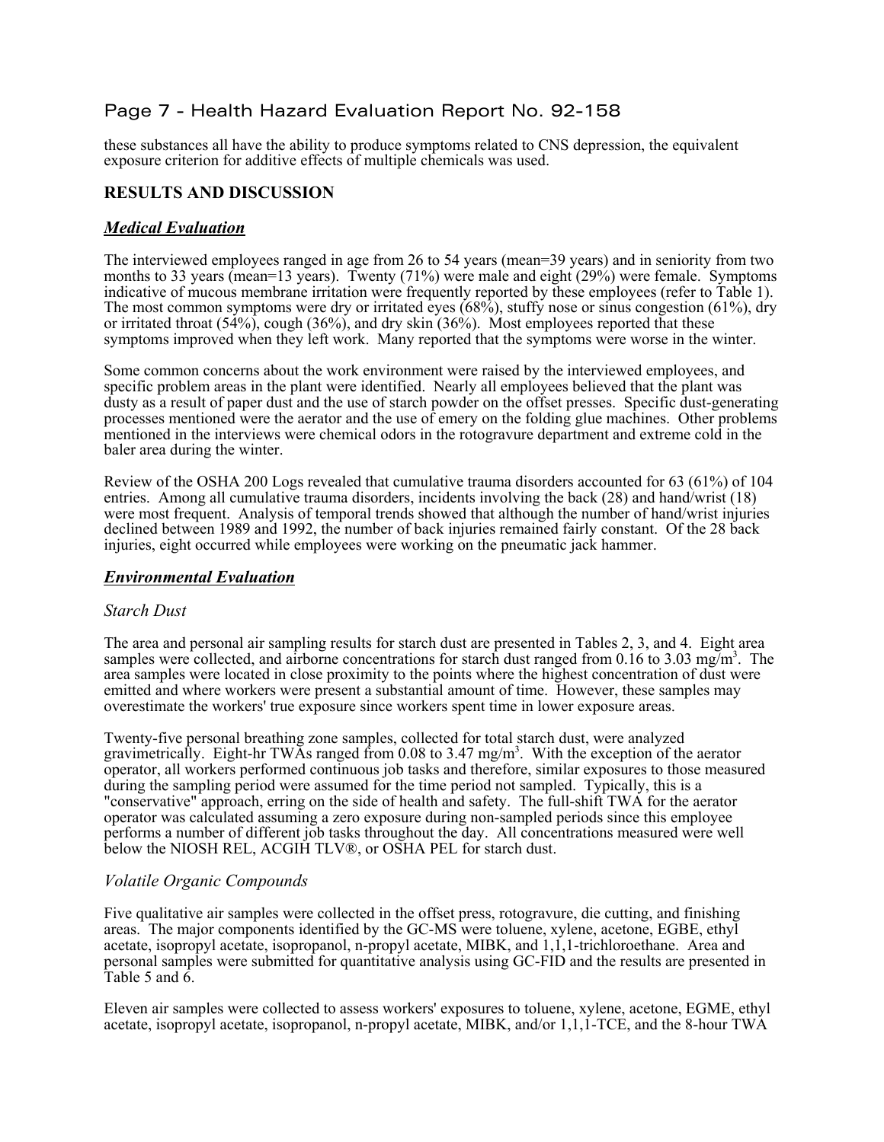# Page 7 - Health Hazard Evaluation Report No. 92-158

these substances all have the ability to produce symptoms related to CNS depression, the equivalent exposure criterion for additive effects of multiple chemicals was used.

### **RESULTS AND DISCUSSION**

#### *Medical Evaluation*

The interviewed employees ranged in age from 26 to 54 years (mean=39 years) and in seniority from two months to 33 years (mean=13 years). Twenty (71%) were male and eight (29%) were female. Symptoms indicative of mucous membrane irritation were frequently reported by these employees (refer to Table 1). The most common symptoms were dry or irritated eyes (68%), stuffy nose or sinus congestion (61%), dry or irritated throat  $(54\%)$ , cough  $(36\%)$ , and dry skin  $(36\%)$ . Most employees reported that these symptoms improved when they left work. Many reported that the symptoms were worse in the winter.

Some common concerns about the work environment were raised by the interviewed employees, and specific problem areas in the plant were identified. Nearly all employees believed that the plant was dusty as a result of paper dust and the use of starch powder on the offset presses. Specific dust-generating processes mentioned were the aerator and the use of emery on the folding glue machines. Other problems mentioned in the interviews were chemical odors in the rotogravure department and extreme cold in the baler area during the winter.

Review of the OSHA 200 Logs revealed that cumulative trauma disorders accounted for 63 (61%) of 104 entries. Among all cumulative trauma disorders, incidents involving the back (28) and hand/wrist (18) were most frequent. Analysis of temporal trends showed that although the number of hand/wrist injuries declined between 1989 and 1992, the number of back injuries remained fairly constant. Of the 28 back injuries, eight occurred while employees were working on the pneumatic jack hammer.

#### *Environmental Evaluation*

#### *Starch Dust*

The area and personal air sampling results for starch dust are presented in Tables 2, 3, and 4. Eight area samples were collected, and airborne concentrations for starch dust ranged from 0.16 to 3.03 mg/m<sup>3</sup>. The area samples were located in close proximity to the points where the highest concentration of dust were emitted and where workers were present a substantial amount of time. However, these samples may overestimate the workers' true exposure since workers spent time in lower exposure areas.

Twenty-five personal breathing zone samples, collected for total starch dust, were analyzed gravimetrically. Eight-hr TWAs ranged from 0.08 to 3.47 mg/m<sup>3</sup>. With the exception of the aerator operator, all workers performed continuous job tasks and therefore, similar exposures to those measured during the sampling period were assumed for the time period not sampled. Typically, this is a "conservative" approach, erring on the side of health and safety. The full-shift TWA for the aerator operator was calculated assuming a zero exposure during non-sampled periods since this employee performs a number of different job tasks throughout the day. All concentrations measured were well below the NIOSH REL, ACGIH TLV<sup>®</sup>, or OSHA PEL for starch dust.

#### *Volatile Organic Compounds*

Five qualitative air samples were collected in the offset press, rotogravure, die cutting, and finishing areas. The major components identified by the GC-MS were toluene, xylene, acetone, EGBE, ethyl acetate, isopropyl acetate, isopropanol, n-propyl acetate, MIBK, and 1,1,1-trichloroethane. Area and personal samples were submitted for quantitative analysis using GC-FID and the results are presented in Table 5 and  $\hat{6}$ .

Eleven air samples were collected to assess workers' exposures to toluene, xylene, acetone, EGME, ethyl acetate, isopropyl acetate, isopropanol, n-propyl acetate, MIBK, and/or 1,1,1-TCE, and the 8-hour TWA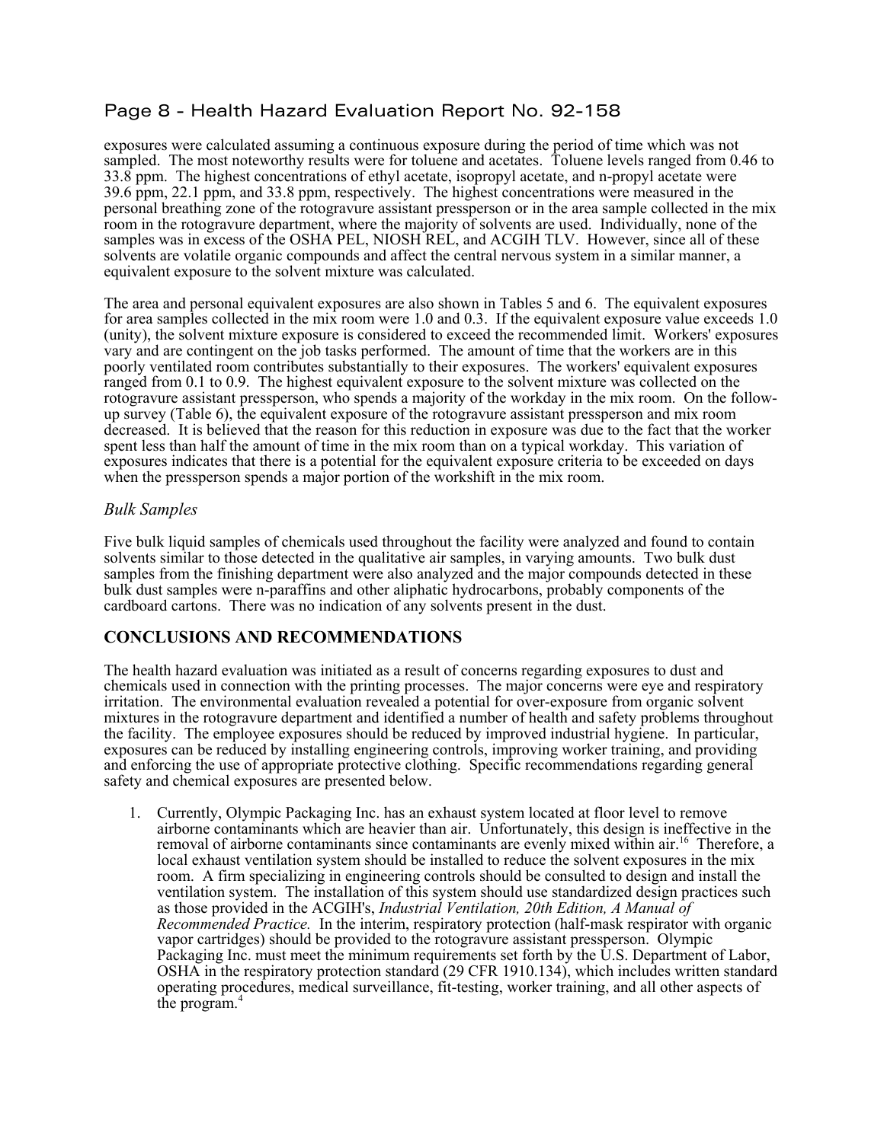# Page 8 - Health Hazard Evaluation Report No. 92-158

exposures were calculated assuming a continuous exposure during the period of time which was not sampled. The most noteworthy results were for toluene and acetates. Toluene levels ranged from 0.46 to 33.8 ppm. The highest concentrations of ethyl acetate, isopropyl acetate, and n-propyl acetate were 39.6 ppm, 22.1 ppm, and 33.8 ppm, respectively. The highest concentrations were measured in the personal breathing zone of the rotogravure assistant pressperson or in the area sample collected in the mix room in the rotogravure department, where the majority of solvents are used. Individually, none of the samples was in excess of the OSHA PEL, NIOSH REL, and ACGIH TLV. However, since all of these solvents are volatile organic compounds and affect the central nervous system in a similar manner, a equivalent exposure to the solvent mixture was calculated.

The area and personal equivalent exposures are also shown in Tables 5 and 6. The equivalent exposures for area samples collected in the mix room were 1.0 and 0.3. If the equivalent exposure value exceeds 1.0 (unity), the solvent mixture exposure is considered to exceed the recommended limit. Workers' exposures vary and are contingent on the job tasks performed. The amount of time that the workers are in this poorly ventilated room contributes substantially to their exposures. The workers' equivalent exposures ranged from 0.1 to 0.9. The highest equivalent exposure to the solvent mixture was collected on the rotogravure assistant pressperson, who spends a majority of the workday in the mix room. On the followup survey (Table 6), the equivalent exposure of the rotogravure assistant pressperson and mix room decreased. It is believed that the reason for this reduction in exposure was due to the fact that the worker spent less than half the amount of time in the mix room than on a typical workday. This variation of exposures indicates that there is a potential for the equivalent exposure criteria to be exceeded on days when the pressperson spends a major portion of the workshift in the mix room.

#### *Bulk Samples*

Five bulk liquid samples of chemicals used throughout the facility were analyzed and found to contain solvents similar to those detected in the qualitative air samples, in varying amounts. Two bulk dust samples from the finishing department were also analyzed and the major compounds detected in these bulk dust samples were n-paraffins and other aliphatic hydrocarbons, probably components of the cardboard cartons. There was no indication of any solvents present in the dust.

#### **CONCLUSIONS AND RECOMMENDATIONS**

The health hazard evaluation was initiated as a result of concerns regarding exposures to dust and chemicals used in connection with the printing processes. The major concerns were eye and respiratory irritation. The environmental evaluation revealed a potential for over-exposure from organic solvent mixtures in the rotogravure department and identified a number of health and safety problems throughout the facility. The employee exposures should be reduced by improved industrial hygiene. In particular, exposures can be reduced by installing engineering controls, improving worker training, and providing and enforcing the use of appropriate protective clothing. Specific recommendations regarding general safety and chemical exposures are presented below.

1. Currently, Olympic Packaging Inc. has an exhaust system located at floor level to remove airborne contaminants which are heavier than air. Unfortunately, this design is ineffective in the removal of airborne contaminants since contaminants are evenly mixed within air.16 Therefore, a local exhaust ventilation system should be installed to reduce the solvent exposures in the mix room. A firm specializing in engineering controls should be consulted to design and install the ventilation system. The installation of this system should use standardized design practices such as those provided in the ACGIH's, *Industrial Ventilation, 20th Edition, A Manual of Recommended Practice.* In the interim, respiratory protection (half-mask respirator with organic vapor cartridges) should be provided to the rotogravure assistant pressperson. Olympic Packaging Inc. must meet the minimum requirements set forth by the U.S. Department of Labor, OSHA in the respiratory protection standard (29 CFR 1910.134), which includes written standard operating procedures, medical surveillance, fit-testing, worker training, and all other aspects of the program.4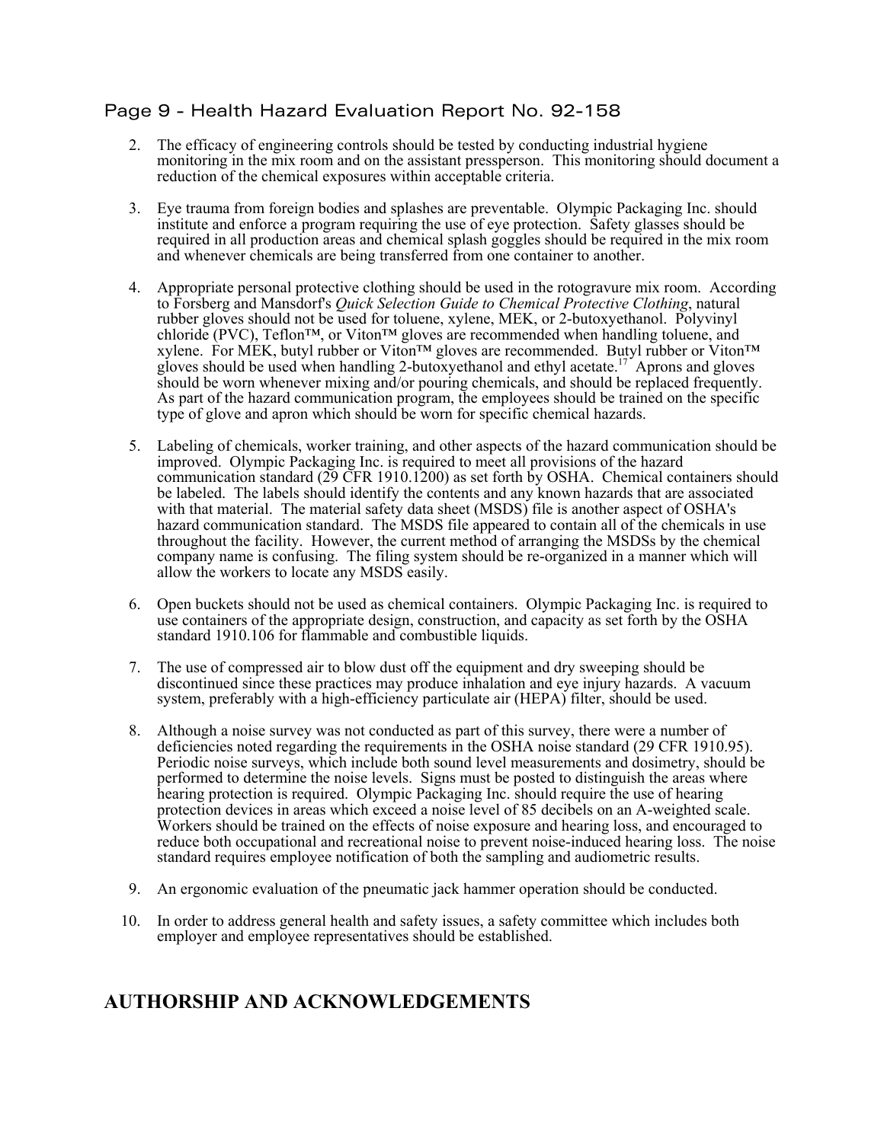# Page 9 - Health Hazard Evaluation Report No. 92-158

- 2. The efficacy of engineering controls should be tested by conducting industrial hygiene monitoring in the mix room and on the assistant pressperson. This monitoring should document a reduction of the chemical exposures within acceptable criteria.
- 3. Eye trauma from foreign bodies and splashes are preventable. Olympic Packaging Inc. should institute and enforce a program requiring the use of eye protection. Safety glasses should be required in all production areas and chemical splash goggles should be required in the mix room and whenever chemicals are being transferred from one container to another.
- 4. Appropriate personal protective clothing should be used in the rotogravure mix room. According to Forsberg and Mansdorf's *Quick Selection Guide to Chemical Protective Clothing*, natural rubber gloves should not be used for toluene, xylene, MEK, or 2-butoxyethanol. Polyvinyl chloride (PVC), Teflon™, or Viton™ gloves are recommended when handling toluene, and xylene. For MEK, butyl rubber or Viton™ gloves are recommended. Butyl rubber or Viton™ gloves should be used when handling 2-butoxyethanol and ethyl acetate.<sup>17</sup> Aprons and gloves should be worn whenever mixing and/or pouring chemicals, and should be replaced frequently. As part of the hazard communication program, the employees should be trained on the specific type of glove and apron which should be worn for specific chemical hazards.
- 5. Labeling of chemicals, worker training, and other aspects of the hazard communication should be improved. Olympic Packaging Inc. is required to meet all provisions of the hazard communication standard (29 CFR 1910.1200) as set forth by OSHA. Chemical containers should be labeled. The labels should identify the contents and any known hazards that are associated with that material. The material safety data sheet (MSDS) file is another aspect of OSHA's hazard communication standard. The MSDS file appeared to contain all of the chemicals in use throughout the facility. However, the current method of arranging the MSDSs by the chemical company name is confusing. The filing system should be re-organized in a manner which will allow the workers to locate any MSDS easily.
- 6. Open buckets should not be used as chemical containers. Olympic Packaging Inc. is required to use containers of the appropriate design, construction, and capacity as set forth by the OSHA standard 1910.106 for flammable and combustible liquids.
- 7. The use of compressed air to blow dust off the equipment and dry sweeping should be discontinued since these practices may produce inhalation and eye injury hazards. A vacuum system, preferably with a high-efficiency particulate air (HEPA) filter, should be used.
- 8. Although a noise survey was not conducted as part of this survey, there were a number of deficiencies noted regarding the requirements in the OSHA noise standard (29 CFR 1910.95). Periodic noise surveys, which include both sound level measurements and dosimetry, should be performed to determine the noise levels. Signs must be posted to distinguish the areas where hearing protection is required. Olympic Packaging Inc. should require the use of hearing protection devices in areas which exceed a noise level of 85 decibels on an A-weighted scale. Workers should be trained on the effects of noise exposure and hearing loss, and encouraged to reduce both occupational and recreational noise to prevent noise-induced hearing loss. The noise standard requires employee notification of both the sampling and audiometric results.
- 9. An ergonomic evaluation of the pneumatic jack hammer operation should be conducted.
- 10. In order to address general health and safety issues, a safety committee which includes both employer and employee representatives should be established.

# **AUTHORSHIP AND ACKNOWLEDGEMENTS**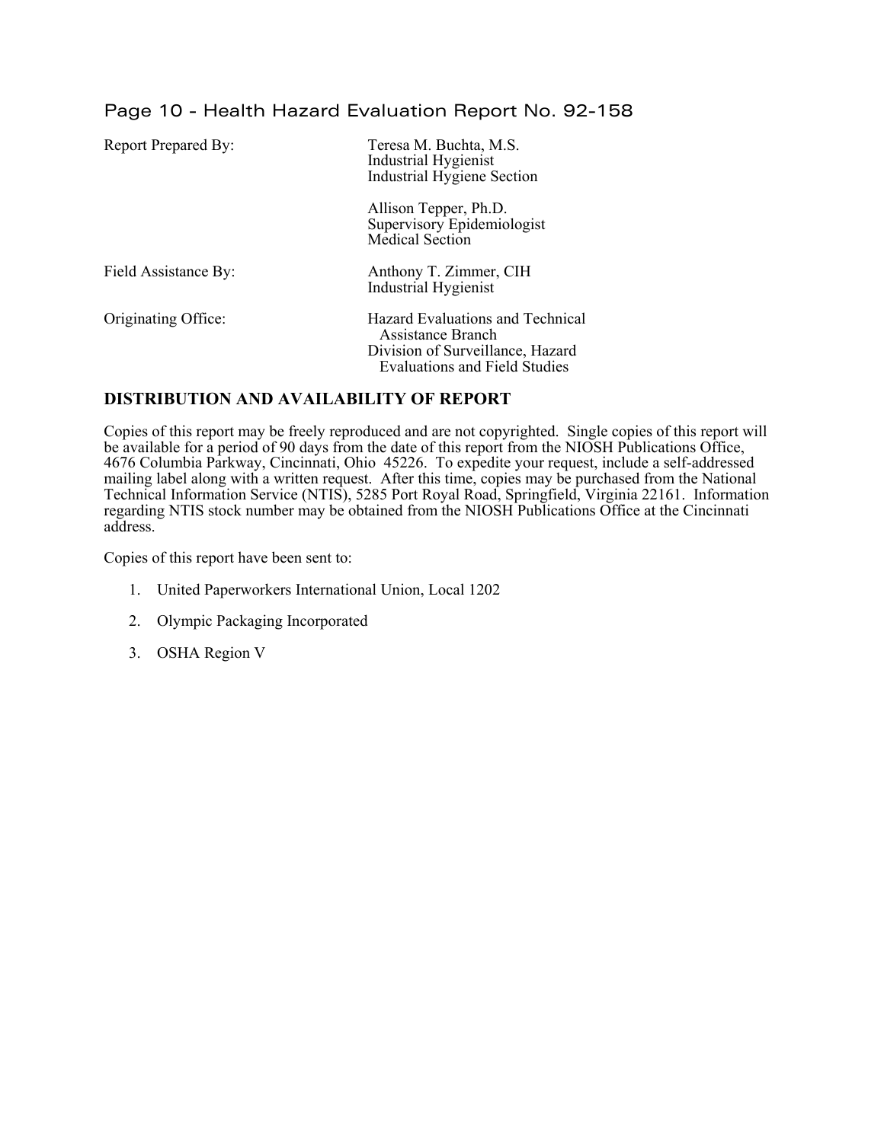# Page 10 - Health Hazard Evaluation Report No. 92-158

| <b>Report Prepared By:</b> | Teresa M. Buchta, M.S.<br>Industrial Hygienist<br>Industrial Hygiene Section                                                      |
|----------------------------|-----------------------------------------------------------------------------------------------------------------------------------|
|                            | Allison Tepper, Ph.D.<br>Supervisory Epidemiologist<br><b>Medical Section</b>                                                     |
| Field Assistance By:       | Anthony T. Zimmer, CIH<br><b>Industrial Hygienist</b>                                                                             |
| Originating Office:        | Hazard Evaluations and Technical<br>Assistance Branch<br>Division of Surveillance, Hazard<br><b>Evaluations and Field Studies</b> |

#### **DISTRIBUTION AND AVAILABILITY OF REPORT**

Copies of this report may be freely reproduced and are not copyrighted. Single copies of this report will be available for a period of 90 days from the date of this report from the NIOSH Publications Office, 4676 Columbia Parkway, Cincinnati, Ohio 45226. To expedite your request, include a self-addressed mailing label along with a written request. After this time, copies may be purchased from the National Technical Information Service (NTIS), 5285 Port Royal Road, Springfield, Virginia 22161. Information regarding NTIS stock number may be obtained from the NIOSH Publications Office at the Cincinnati address.

Copies of this report have been sent to:

- 1. United Paperworkers International Union, Local 1202
- 2. Olympic Packaging Incorporated
- 3. OSHA Region V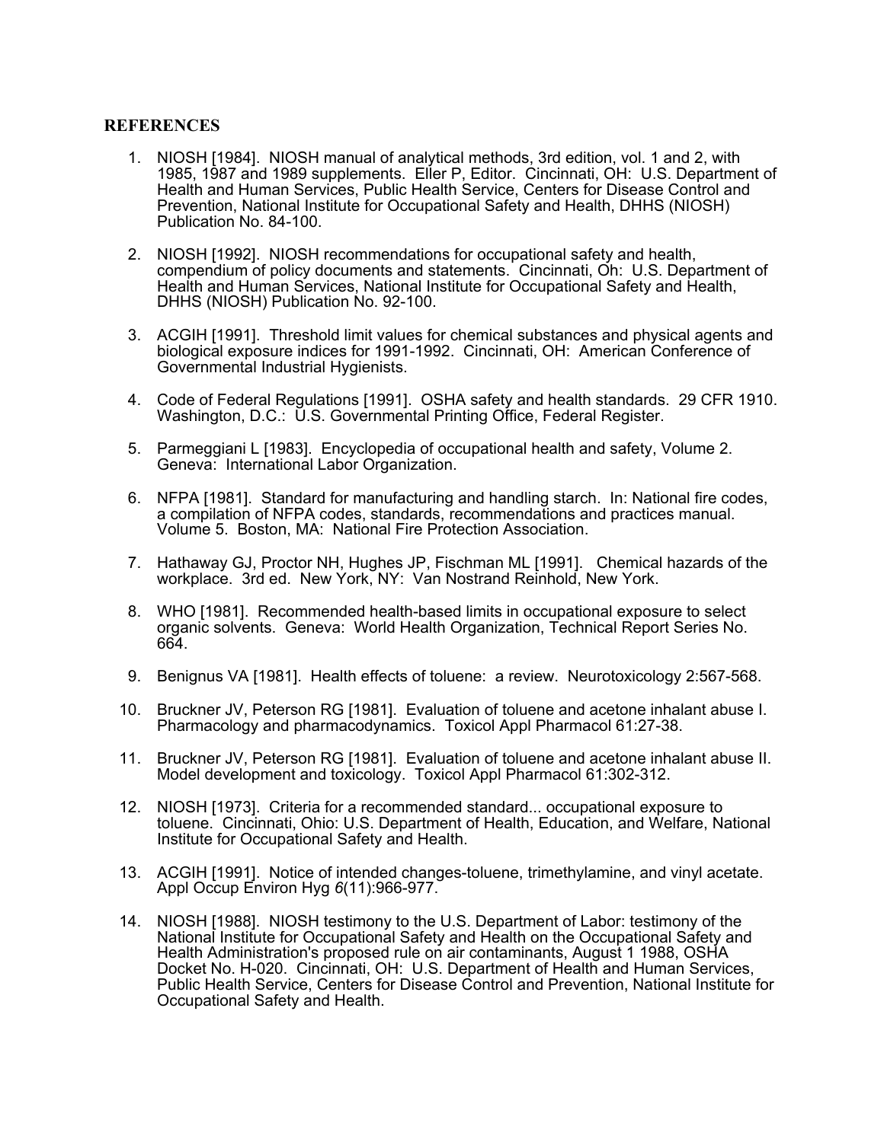#### **REFERENCES**

- 1. NIOSH [1984]. NIOSH manual of analytical methods, 3rd edition, vol. 1 and 2, with 1985, 1987 and 1989 supplements. Eller P, Editor. Cincinnati, OH: U.S. Department of Health and Human Services, Public Health Service, Centers for Disease Control and Prevention, National Institute for Occupational Safety and Health, DHHS (NIOSH) Publication No. 84-100.
- 2. NIOSH [1992]. NIOSH recommendations for occupational safety and health, compendium of policy documents and statements. Cincinnati, Oh: U.S. Department of Health and Human Services, National Institute for Occupational Safety and Health, DHHS (NIOSH) Publication No. 92-100.
- 3. ACGIH [1991]. Threshold limit values for chemical substances and physical agents and biological exposure indices for 1991-1992. Cincinnati, OH: American Conference of Governmental Industrial Hygienists.
- 4. Code of Federal Regulations [1991]. OSHA safety and health standards. 29 CFR 1910. Washington, D.C.: U.S. Governmental Printing Office, Federal Register.
- 5. Parmeggiani L [1983]. Encyclopedia of occupational health and safety, Volume 2. Geneva: International Labor Organization.
- 6. NFPA [1981]. Standard for manufacturing and handling starch. In: National fire codes, a compilation of NFPA codes, standards, recommendations and practices manual. Volume 5. Boston, MA: National Fire Protection Association.
- 7. Hathaway GJ, Proctor NH, Hughes JP, Fischman ML [1991]. Chemical hazards of the workplace. 3rd ed. New York, NY: Van Nostrand Reinhold, New York.
- 8. WHO [1981]. Recommended health-based limits in occupational exposure to select organic solvents. Geneva: World Health Organization, Technical Report Series No. 664.
- 9. Benignus VA [1981]. Health effects of toluene: a review. Neurotoxicology 2:567-568.
- 10. Bruckner JV, Peterson RG [1981]. Evaluation of toluene and acetone inhalant abuse I. Pharmacology and pharmacodynamics. Toxicol Appl Pharmacol 61:27-38.
- 11. Bruckner JV, Peterson RG [1981]. Evaluation of toluene and acetone inhalant abuse II. Model development and toxicology. Toxicol Appl Pharmacol 61:302-312.
- 12. NIOSH [1973]. Criteria for a recommended standard... occupational exposure to toluene. Cincinnati, Ohio: U.S. Department of Health, Education, and Welfare, National Institute for Occupational Safety and Health.
- 13. ACGIH [1991]. Notice of intended changes-toluene, trimethylamine, and vinyl acetate. Appl Occup Environ Hyg *6*(11):966-977.
- 14. NIOSH [1988]. NIOSH testimony to the U.S. Department of Labor: testimony of the National Institute for Occupational Safety and Health on the Occupational Safety and Health Administration's proposed rule on air contaminants, August 1 1988, OSHA Docket No. H-020. Cincinnati, OH: U.S. Department of Health and Human Services, Public Health Service, Centers for Disease Control and Prevention, National Institute for Occupational Safety and Health.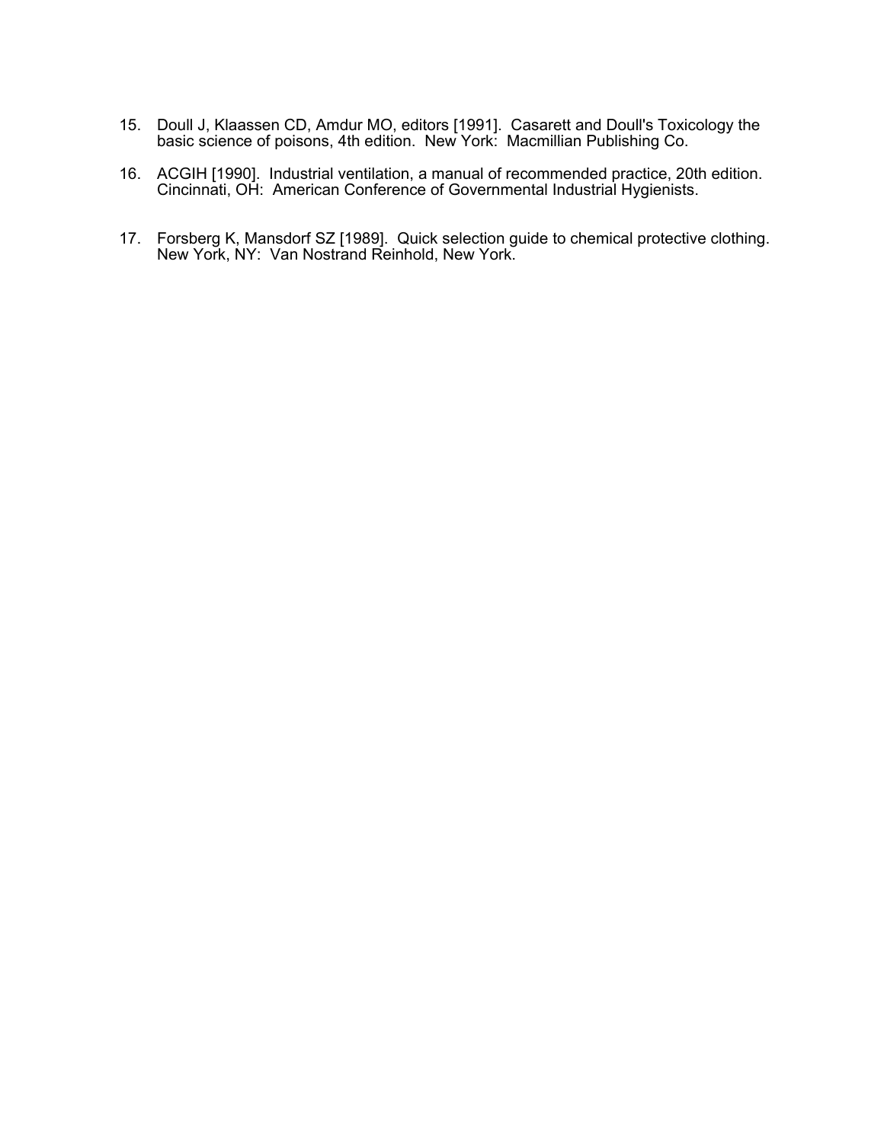- 15. Doull J, Klaassen CD, Amdur MO, editors [1991]. Casarett and Doull's Toxicology the basic science of poisons, 4th edition. New York: Macmillian Publishing Co.
- 16. ACGIH [1990]. Industrial ventilation, a manual of recommended practice, 20th edition. Cincinnati, OH: American Conference of Governmental Industrial Hygienists.
- 17. Forsberg K, Mansdorf SZ [1989]. Quick selection guide to chemical protective clothing. New York, NY: Van Nostrand Reinhold, New York.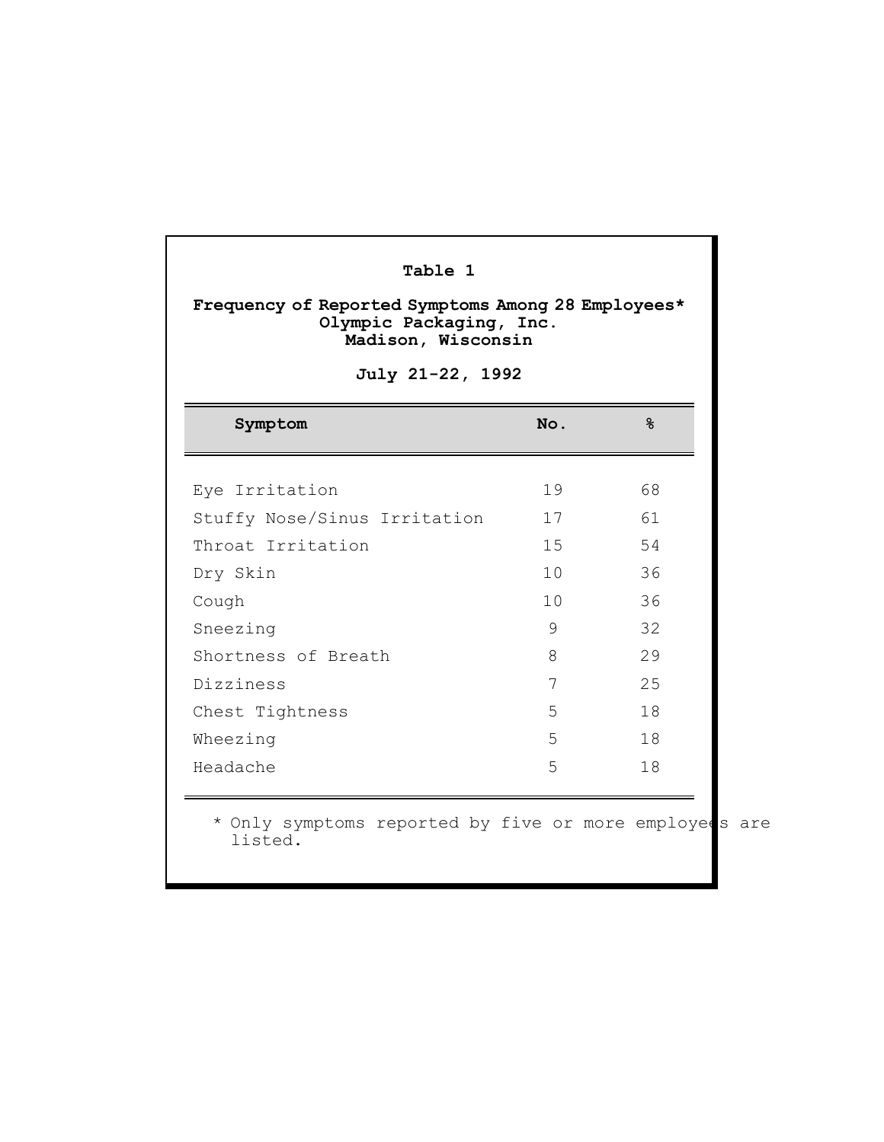| Table 1<br>Frequency of Reported Symptoms Among 28 Employees*<br>Olympic Packaging, Inc.<br>Madison, Wisconsin<br>July 21-22, 1992 |                 |    |  |  |  |  |
|------------------------------------------------------------------------------------------------------------------------------------|-----------------|----|--|--|--|--|
| Symptom                                                                                                                            | No.             | ዱ  |  |  |  |  |
| Eye Irritation                                                                                                                     | 19              | 68 |  |  |  |  |
| Stuffy Nose/Sinus Irritation                                                                                                       | 17              | 61 |  |  |  |  |
| Throat Irritation                                                                                                                  | 15 <sub>1</sub> | 54 |  |  |  |  |
| Dry Skin                                                                                                                           | 10              | 36 |  |  |  |  |
| Cough                                                                                                                              | 10              | 36 |  |  |  |  |
| Sneezing                                                                                                                           | 9               | 32 |  |  |  |  |
| Shortness of Breath                                                                                                                | 8               | 29 |  |  |  |  |
| Dizziness                                                                                                                          | 7               | 25 |  |  |  |  |
| Chest Tightness                                                                                                                    | 5               | 18 |  |  |  |  |
| Wheezing                                                                                                                           | 5               | 18 |  |  |  |  |
| Headache                                                                                                                           | 5               | 18 |  |  |  |  |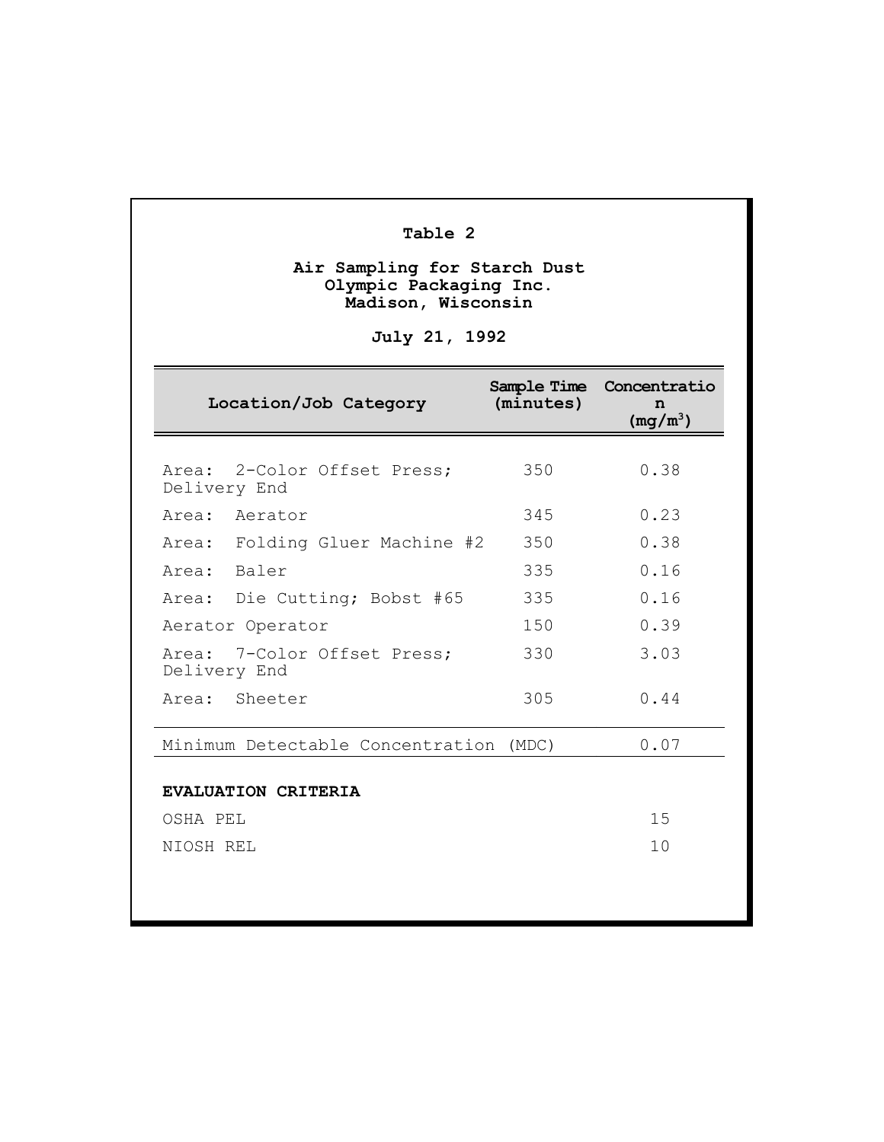# **Table 2**

#### **Air Sampling for Starch Dust Olympic Packaging Inc. Madison, Wisconsin**

# **July 21, 1992**

| Location/Job Category                               | (minutes) | Sample Time Concentratio<br>n<br>$(mg/m^3)$ |
|-----------------------------------------------------|-----------|---------------------------------------------|
| Area: 2-Color Offset Press:<br>Delivery End         | 350       | 0.38                                        |
| Area: Aerator                                       | 345       | 0.23                                        |
| Area: Folding Gluer Machine #2                      | 350       | 0.38                                        |
| Area: Baler                                         | 335       | 0.16                                        |
| Area: Die Cutting; Bobst #65                        | 335       | 0.16                                        |
| Aerator Operator                                    | 150       | 0.39                                        |
| Area: 7-Color Offset Press;<br>Delivery End         | 330       | 3.03                                        |
| Area: Sheeter                                       | 305       | 0.44                                        |
| Minimum Detectable Concentration (MDC)              |           | 0.07                                        |
| <b>EVALUATION CRITERIA</b><br>OSHA PEL<br>NIOSH REL |           | 15<br>10                                    |
|                                                     |           |                                             |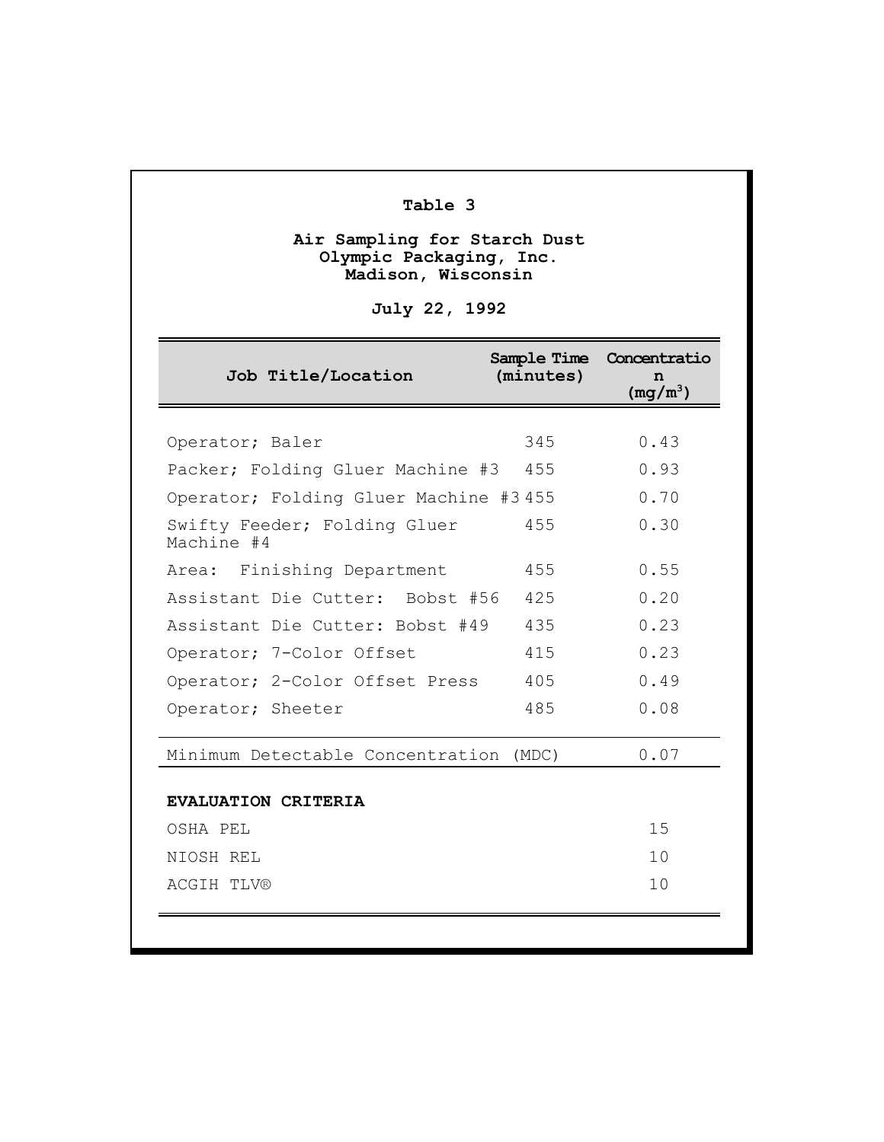# **Table 3**

#### **Air Sampling for Starch Dust Olympic Packaging, Inc. Madison, Wisconsin**

**July 22, 1992**

| Job Title/Location                         | (minutes) | Sample Time Concentratio<br>n<br>$(mq/m^3)$ |
|--------------------------------------------|-----------|---------------------------------------------|
|                                            |           |                                             |
| Operator; Baler                            | 345       | 0.43                                        |
| Packer; Folding Gluer Machine #3           | 455       | 0.93                                        |
| Operator; Folding Gluer Machine #3 455     |           | 0.70                                        |
| Swifty Feeder; Folding Gluer<br>Machine #4 | 455       | 0.30                                        |
| Area: Finishing Department                 | 455       | 0.55                                        |
| Assistant Die Cutter: Bobst #56            | 425       | 0.20                                        |
| Assistant Die Cutter: Bobst #49            | 435       | 0.23                                        |
| Operator; 7-Color Offset                   | 415       | 0.23                                        |
| Operator; 2-Color Offset Press             | 405       | 0.49                                        |
| Operator; Sheeter                          | 485       | 0.08                                        |
| Minimum Detectable Concentration           | (MDC)     | 0.07                                        |
| <b>EVALUATION CRITERIA</b>                 |           |                                             |
| OSHA PEL                                   |           | 15                                          |
| NIOSH REL                                  |           | 10                                          |
| <b>ACGIH TLV®</b>                          |           | 10                                          |
|                                            |           |                                             |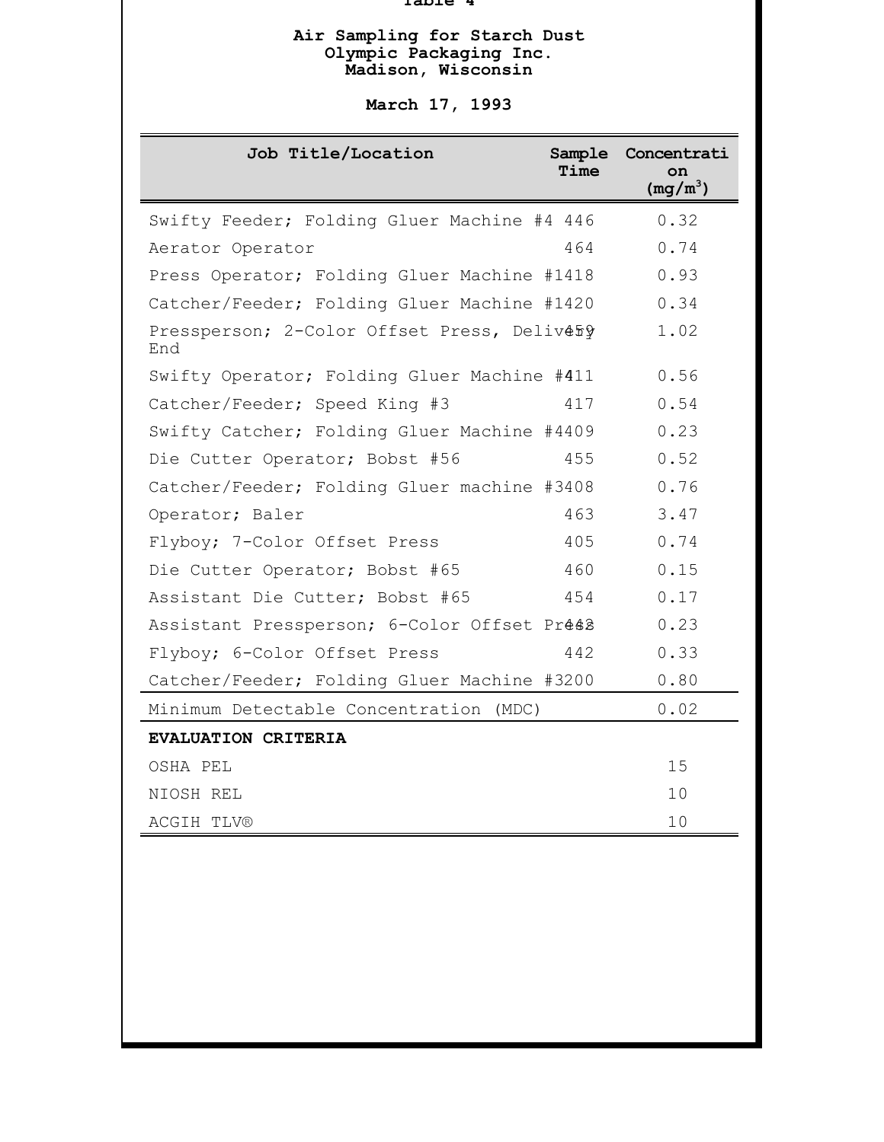#### **Table 4**

#### **Air Sampling for Starch Dust Olympic Packaging Inc. Madison, Wisconsin**

# **March 17, 1993**

| 0.32<br>Swifty Feeder; Folding Gluer Machine #4 446<br>0.74<br>464<br>Aerator Operator<br>0.93<br>Press Operator; Folding Gluer Machine #1418<br>0.34<br>Catcher/Feeder; Folding Gluer Machine #1420<br>1.02<br>Pressperson; 2-Color Offset Press, Delivery<br>End<br>0.56<br>Swifty Operator; Folding Gluer Machine #411<br>0.54<br>Catcher/Feeder; Speed King #3<br>417<br>0.23<br>Swifty Catcher; Folding Gluer Machine #4409<br>0.52<br>455<br>Die Cutter Operator; Bobst #56<br>0.76<br>Catcher/Feeder; Folding Gluer machine #3408<br>3.47<br>463<br>Operator; Baler<br>0.74<br>Flyboy; 7-Color Offset Press<br>405<br>0.15<br>Die Cutter Operator; Bobst #65<br>460<br>0.17<br>Assistant Die Cutter; Bobst #65<br>454<br>0.23<br>Assistant Pressperson; 6-Color Offset Prés2<br>0.33<br>442<br>Flyboy; 6-Color Offset Press<br>0.80<br>Catcher/Feeder; Folding Gluer Machine #3200<br>0.02<br>Minimum Detectable Concentration (MDC)<br>EVALUATION CRITERIA<br>15<br>OSHA PEL<br>10<br>NIOSH REL<br>10<br><b>ACGIH TLV®</b> | Job Title/Location | Sample<br>Time | Concentrati<br>on<br>$(mg/m^3)$ |
|------------------------------------------------------------------------------------------------------------------------------------------------------------------------------------------------------------------------------------------------------------------------------------------------------------------------------------------------------------------------------------------------------------------------------------------------------------------------------------------------------------------------------------------------------------------------------------------------------------------------------------------------------------------------------------------------------------------------------------------------------------------------------------------------------------------------------------------------------------------------------------------------------------------------------------------------------------------------------------------------------------------------------------|--------------------|----------------|---------------------------------|
|                                                                                                                                                                                                                                                                                                                                                                                                                                                                                                                                                                                                                                                                                                                                                                                                                                                                                                                                                                                                                                    |                    |                |                                 |
|                                                                                                                                                                                                                                                                                                                                                                                                                                                                                                                                                                                                                                                                                                                                                                                                                                                                                                                                                                                                                                    |                    |                |                                 |
|                                                                                                                                                                                                                                                                                                                                                                                                                                                                                                                                                                                                                                                                                                                                                                                                                                                                                                                                                                                                                                    |                    |                |                                 |
|                                                                                                                                                                                                                                                                                                                                                                                                                                                                                                                                                                                                                                                                                                                                                                                                                                                                                                                                                                                                                                    |                    |                |                                 |
|                                                                                                                                                                                                                                                                                                                                                                                                                                                                                                                                                                                                                                                                                                                                                                                                                                                                                                                                                                                                                                    |                    |                |                                 |
|                                                                                                                                                                                                                                                                                                                                                                                                                                                                                                                                                                                                                                                                                                                                                                                                                                                                                                                                                                                                                                    |                    |                |                                 |
|                                                                                                                                                                                                                                                                                                                                                                                                                                                                                                                                                                                                                                                                                                                                                                                                                                                                                                                                                                                                                                    |                    |                |                                 |
|                                                                                                                                                                                                                                                                                                                                                                                                                                                                                                                                                                                                                                                                                                                                                                                                                                                                                                                                                                                                                                    |                    |                |                                 |
|                                                                                                                                                                                                                                                                                                                                                                                                                                                                                                                                                                                                                                                                                                                                                                                                                                                                                                                                                                                                                                    |                    |                |                                 |
|                                                                                                                                                                                                                                                                                                                                                                                                                                                                                                                                                                                                                                                                                                                                                                                                                                                                                                                                                                                                                                    |                    |                |                                 |
|                                                                                                                                                                                                                                                                                                                                                                                                                                                                                                                                                                                                                                                                                                                                                                                                                                                                                                                                                                                                                                    |                    |                |                                 |
|                                                                                                                                                                                                                                                                                                                                                                                                                                                                                                                                                                                                                                                                                                                                                                                                                                                                                                                                                                                                                                    |                    |                |                                 |
|                                                                                                                                                                                                                                                                                                                                                                                                                                                                                                                                                                                                                                                                                                                                                                                                                                                                                                                                                                                                                                    |                    |                |                                 |
|                                                                                                                                                                                                                                                                                                                                                                                                                                                                                                                                                                                                                                                                                                                                                                                                                                                                                                                                                                                                                                    |                    |                |                                 |
|                                                                                                                                                                                                                                                                                                                                                                                                                                                                                                                                                                                                                                                                                                                                                                                                                                                                                                                                                                                                                                    |                    |                |                                 |
|                                                                                                                                                                                                                                                                                                                                                                                                                                                                                                                                                                                                                                                                                                                                                                                                                                                                                                                                                                                                                                    |                    |                |                                 |
|                                                                                                                                                                                                                                                                                                                                                                                                                                                                                                                                                                                                                                                                                                                                                                                                                                                                                                                                                                                                                                    |                    |                |                                 |
|                                                                                                                                                                                                                                                                                                                                                                                                                                                                                                                                                                                                                                                                                                                                                                                                                                                                                                                                                                                                                                    |                    |                |                                 |
|                                                                                                                                                                                                                                                                                                                                                                                                                                                                                                                                                                                                                                                                                                                                                                                                                                                                                                                                                                                                                                    |                    |                |                                 |
|                                                                                                                                                                                                                                                                                                                                                                                                                                                                                                                                                                                                                                                                                                                                                                                                                                                                                                                                                                                                                                    |                    |                |                                 |
|                                                                                                                                                                                                                                                                                                                                                                                                                                                                                                                                                                                                                                                                                                                                                                                                                                                                                                                                                                                                                                    |                    |                |                                 |
|                                                                                                                                                                                                                                                                                                                                                                                                                                                                                                                                                                                                                                                                                                                                                                                                                                                                                                                                                                                                                                    |                    |                |                                 |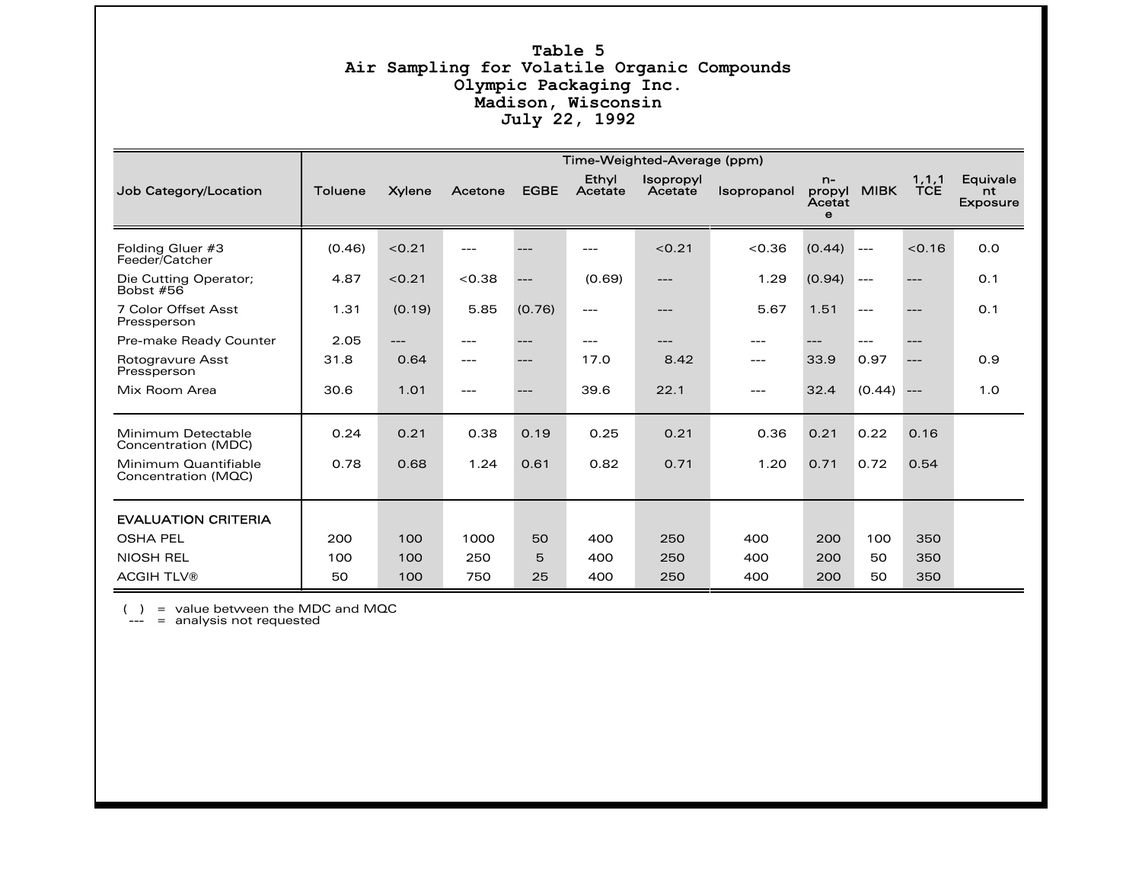#### **Table 5 Air Sampling for Volatile Organic Compounds Olympic Packaging Inc. Madison, Wisconsin July 22, 1992**

|                                             | Time-Weighted-Average (ppm) |               |         |             |                  |                      |                    |                                         |             |                       |                                   |
|---------------------------------------------|-----------------------------|---------------|---------|-------------|------------------|----------------------|--------------------|-----------------------------------------|-------------|-----------------------|-----------------------------------|
| Job Category/Location                       | <b>Toluene</b>              | <b>Xylene</b> | Acetone | <b>EGBE</b> | Ethyl<br>Acetate | Isopropyl<br>Acetate | <b>Isopropanol</b> | $n-$<br>propyl<br>Acetat<br>$\mathbf e$ | <b>MIBK</b> | 1, 1, 1<br><b>TCE</b> | Equivale<br>nt<br><b>Exposure</b> |
| Folding Gluer #3<br>Feeder/Catcher          | (0.46)                      | < 0.21        | ---     |             | $---$            | < 0.21               | < 0.36             | (0.44)                                  | $---$       | < 0.16                | 0.0                               |
| Die Cutting Operator;<br>Bobst #56          | 4.87                        | < 0.21        | < 0.38  | ---         | (0.69)           | ---                  | 1.29               | (0.94)                                  | $---$       | ---                   | O.1                               |
| 7 Color Offset Asst<br>Pressperson          | 1.31                        | (0.19)        | 5.85    | (0.76)      | $---$            | ---                  | 5.67               | 1.51                                    | $---$       | ---                   | 0.1                               |
| Pre-make Ready Counter                      | 2.05                        | ---           | ---     | $- -$       | $---$            | ---                  | ---                | ---                                     | $---$       | ---                   |                                   |
| Rotogravure Asst<br>Pressperson             | 31.8                        | 0.64          | ---     | ---         | 17.0             | 8.42                 | ---                | 33.9                                    | 0.97        | ---                   | 0.9                               |
| Mix Room Area                               | 30.6                        | 1.01          | ---     | ---         | 39.6             | 22.1                 | ---                | 32.4                                    | (0.44)      | $---$                 | 1.0                               |
| Minimum Detectable<br>Concentration (MDC)   | 0.24                        | 0.21          | 0.38    | 0.19        | 0.25             | 0.21                 | 0.36               | 0.21                                    | 0.22        | 0.16                  |                                   |
| Minimum Quantifiable<br>Concentration (MQC) | 0.78                        | 0.68          | 1.24    | 0.61        | 0.82             | 0.71                 | 1.20               | 0.71                                    | 0.72        | 0.54                  |                                   |
| <b>EVALUATION CRITERIA</b>                  |                             |               |         |             |                  |                      |                    |                                         |             |                       |                                   |
| <b>OSHA PEL</b>                             | 200                         | 100           | 1000    | 50          | 400              | 250                  | 400                | 200                                     | 100         | 350                   |                                   |
| NIOSH REL                                   | 100                         | 100           | 250     | 5           | 400              | 250                  | 400                | 200                                     | 50          | 350                   |                                   |
| <b>ACGIH TLV®</b>                           | 50                          | 100           | 750     | 25          | 400              | 250                  | 400                | 200                                     | 50          | 350                   |                                   |

( ) <sup>=</sup> value between the MDC and MQC --- <sup>=</sup> analysis not requested